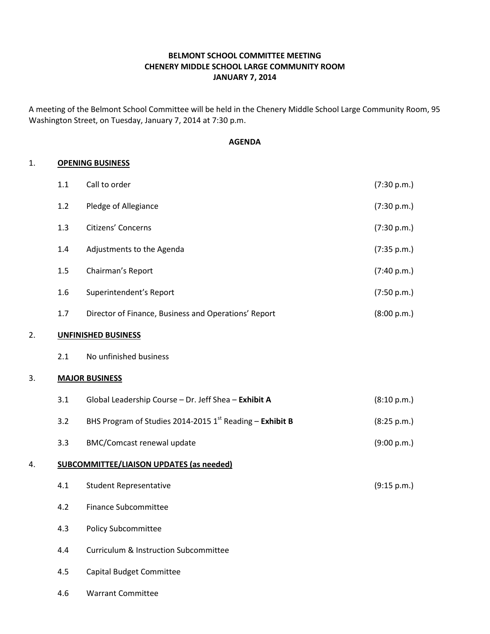# BELMONT SCHOOL COMMITTEE MEETING CHENERY MIDDLE SCHOOL LARGE COMMUNITY ROOM JANUARY 7, 2014

A meeting of the Belmont School Committee will be held in the Chenery Middle School Large Community Room, 95 Washington Street, on Tuesday, January 7, 2014 at 7:30 p.m.

### AGENDA

### 1. OPENING BUSINESS

|    | 1.1     | Call to order                                            | (7:30 p.m.) |
|----|---------|----------------------------------------------------------|-------------|
|    | 1.2     | Pledge of Allegiance                                     | (7:30 p.m.) |
|    | 1.3     | Citizens' Concerns                                       | (7:30 p.m.) |
|    | 1.4     | Adjustments to the Agenda                                | (7:35 p.m.) |
|    | $1.5\,$ | Chairman's Report                                        | (7:40 p.m.) |
|    | 1.6     | Superintendent's Report                                  | (7:50 p.m.) |
|    | 1.7     | Director of Finance, Business and Operations' Report     | (8:00 p.m.) |
| 2. |         | <b>UNFINISHED BUSINESS</b>                               |             |
|    | 2.1     | No unfinished business                                   |             |
| 3. |         | <b>MAJOR BUSINESS</b>                                    |             |
|    | 3.1     | Global Leadership Course - Dr. Jeff Shea - Exhibit A     | (8:10 p.m.) |
|    | 3.2     | BHS Program of Studies 2014-2015 1st Reading - Exhibit B | (8:25 p.m.) |
|    | 3.3     | <b>BMC/Comcast renewal update</b>                        | (9:00 p.m.) |
| 4. |         | <b>SUBCOMMITTEE/LIAISON UPDATES (as needed)</b>          |             |
|    | 4.1     | <b>Student Representative</b>                            | (9:15 p.m.) |
|    | 4.2     | <b>Finance Subcommittee</b>                              |             |
|    | 4.3     | Policy Subcommittee                                      |             |
|    | 4.4     | <b>Curriculum &amp; Instruction Subcommittee</b>         |             |
|    | 4.5     | <b>Capital Budget Committee</b>                          |             |
|    | 4.6     | <b>Warrant Committee</b>                                 |             |